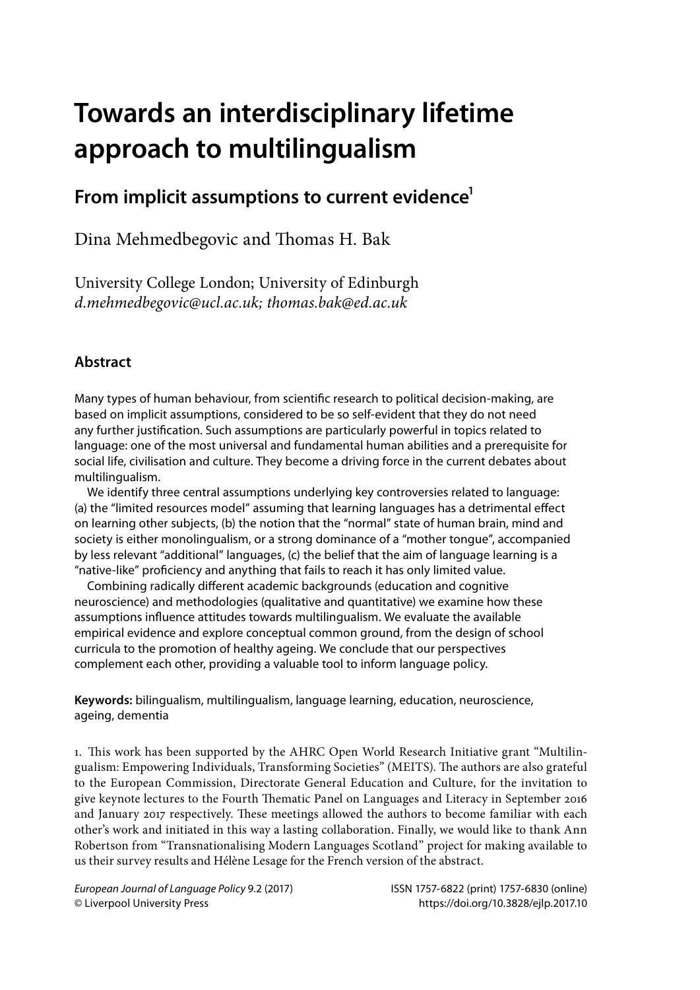# **Towards an interdisciplinary lifetime approach to multilingualism**

## **From implicit assumptions to current evidence**1

Dina Mehmedbegovic and Thomas H. Bak

University College London; University of Edinburgh *d.mehmedbegovic@ucl.ac.uk; thomas.bak@ed.ac.uk*

### **Abstract**

Many types of human behaviour, from scientific research to political decision-making, are based on implicit assumptions, considered to be so self-evident that they do not need any further justification. Such assumptions are particularly powerful in topics related to language: one of the most universal and fundamental human abilities and a prerequisite for social life, civilisation and culture. They become a driving force in the current debates about multilingualism.

We identify three central assumptions underlying key controversies related to language: (a) the "limited resources model" assuming that learning languages has a detrimental effect on learning other subjects, (b) the notion that the "normal" state of human brain, mind and society is either monolingualism, or a strong dominance of a "mother tongue", accompanied by less relevant "additional" languages, (c) the belief that the aim of language learning is a "native-like" proficiency and anything that fails to reach it has only limited value.

Combining radically different academic backgrounds (education and cognitive neuroscience) and methodologies (qualitative and quantitative) we examine how these assumptions influence attitudes towards multilingualism. We evaluate the available empirical evidence and explore conceptual common ground, from the design of school curricula to the promotion of healthy ageing. We conclude that our perspectives complement each other, providing a valuable tool to inform language policy.

**Keywords:** bilingualism, multilingualism, language learning, education, neuroscience, ageing, dementia

1. This work has been supported by the AHRC Open World Research Initiative grant "Multilingualism: Empowering Individuals, Transforming Societies" (MEITS). The authors are also grateful to the European Commission, Directorate General Education and Culture, for the invitation to give keynote lectures to the Fourth Thematic Panel on Languages and Literacy in September 2016 and January 2017 respectively. These meetings allowed the authors to become familiar with each other's work and initiated in this way a lasting collaboration. Finally, we would like to thank Ann Robertson from "Transnationalising Modern Languages Scotland" project for making available to us their survey results and Hélène Lesage for the French version of the abstract.

*European Journal of Language Policy* 9.2 (2017) ISSN 1757-6822 (print) 1757-6830 (online) © Liverpool University Press https://doi.org/10.3828/ejlp.2017.10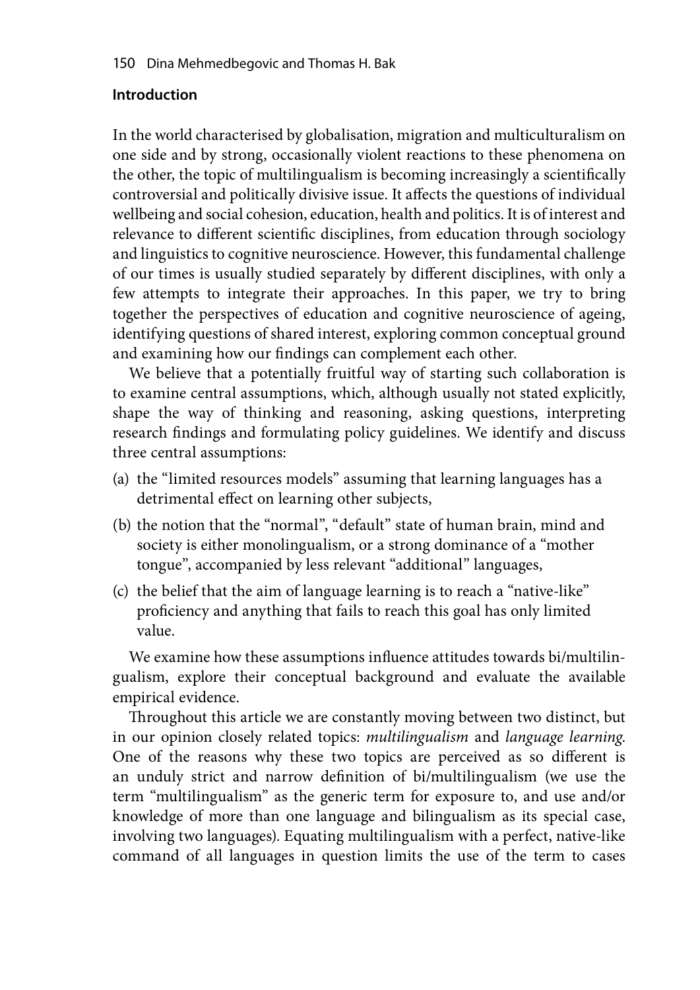### **Introduction**

In the world characterised by globalisation, migration and multiculturalism on one side and by strong, occasionally violent reactions to these phenomena on the other, the topic of multilingualism is becoming increasingly a scientifically controversial and politically divisive issue. It affects the questions of individual wellbeing and social cohesion, education, health and politics. It is of interest and relevance to different scientific disciplines, from education through sociology and linguistics to cognitive neuroscience. However, this fundamental challenge of our times is usually studied separately by different disciplines, with only a few attempts to integrate their approaches. In this paper, we try to bring together the perspectives of education and cognitive neuroscience of ageing, identifying questions of shared interest, exploring common conceptual ground and examining how our findings can complement each other.

We believe that a potentially fruitful way of starting such collaboration is to examine central assumptions, which, although usually not stated explicitly, shape the way of thinking and reasoning, asking questions, interpreting research findings and formulating policy guidelines. We identify and discuss three central assumptions:

- (a) the "limited resources models" assuming that learning languages has a detrimental effect on learning other subjects,
- (b) the notion that the "normal", "default" state of human brain, mind and society is either monolingualism, or a strong dominance of a "mother tongue", accompanied by less relevant "additional" languages,
- (c) the belief that the aim of language learning is to reach a "native-like" proficiency and anything that fails to reach this goal has only limited value.

We examine how these assumptions influence attitudes towards bi/multilingualism, explore their conceptual background and evaluate the available empirical evidence.

Throughout this article we are constantly moving between two distinct, but in our opinion closely related topics: *multilingualism* and *language learning*. One of the reasons why these two topics are perceived as so different is an unduly strict and narrow definition of bi/multilingualism (we use the term "multilingualism" as the generic term for exposure to, and use and/or knowledge of more than one language and bilingualism as its special case, involving two languages). Equating multilingualism with a perfect, native-like command of all languages in question limits the use of the term to cases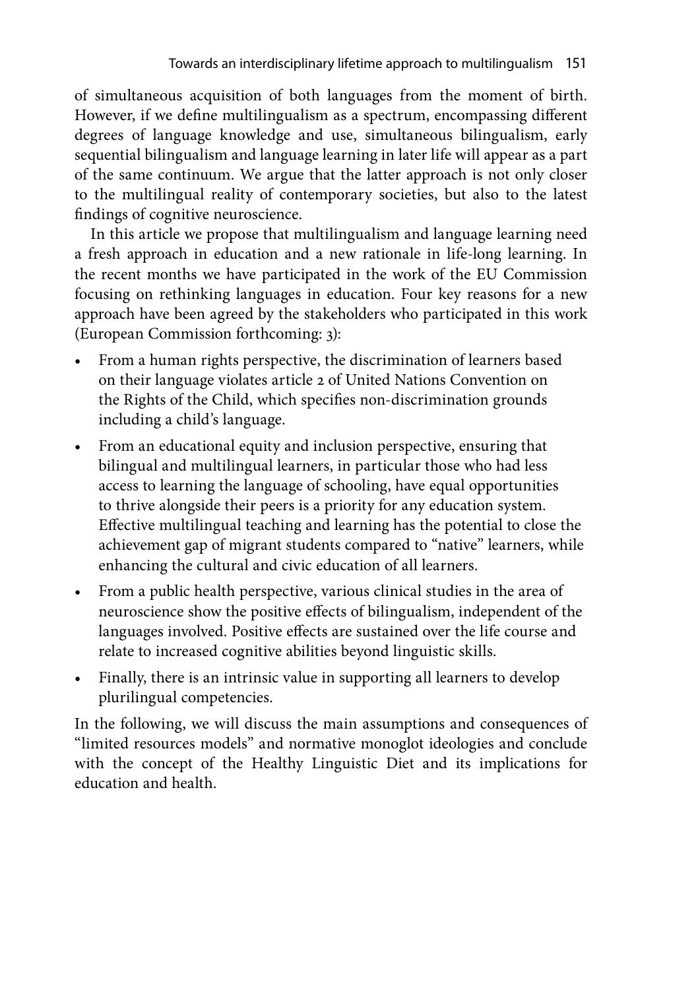of simultaneous acquisition of both languages from the moment of birth. However, if we define multilingualism as a spectrum, encompassing different degrees of language knowledge and use, simultaneous bilingualism, early sequential bilingualism and language learning in later life will appear as a part of the same continuum. We argue that the latter approach is not only closer to the multilingual reality of contemporary societies, but also to the latest findings of cognitive neuroscience.

In this article we propose that multilingualism and language learning need a fresh approach in education and a new rationale in life-long learning. In the recent months we have participated in the work of the EU Commission focusing on rethinking languages in education. Four key reasons for a new approach have been agreed by the stakeholders who participated in this work (European Commission forthcoming: 3):

- From a human rights perspective, the discrimination of learners based on their language violates article 2 of United Nations Convention on the Rights of the Child, which specifies non-discrimination grounds including a child's language.
- From an educational equity and inclusion perspective, ensuring that bilingual and multilingual learners, in particular those who had less access to learning the language of schooling, have equal opportunities to thrive alongside their peers is a priority for any education system. Effective multilingual teaching and learning has the potential to close the achievement gap of migrant students compared to "native" learners, while enhancing the cultural and civic education of all learners.
- From a public health perspective, various clinical studies in the area of neuroscience show the positive effects of bilingualism, independent of the languages involved. Positive effects are sustained over the life course and relate to increased cognitive abilities beyond linguistic skills.
- Finally, there is an intrinsic value in supporting all learners to develop plurilingual competencies.

In the following, we will discuss the main assumptions and consequences of "limited resources models" and normative monoglot ideologies and conclude with the concept of the Healthy Linguistic Diet and its implications for education and health.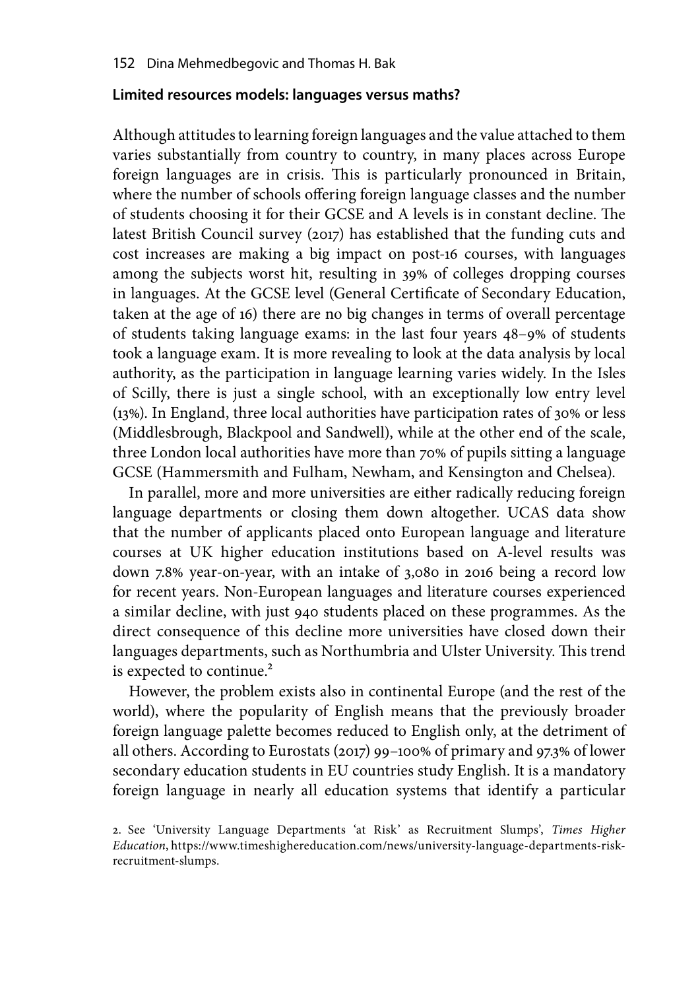#### **Limited resources models: languages versus maths?**

Although attitudes to learning foreign languages and the value attached to them varies substantially from country to country, in many places across Europe foreign languages are in crisis. This is particularly pronounced in Britain, where the number of schools offering foreign language classes and the number of students choosing it for their GCSE and A levels is in constant decline. The latest British Council survey (2017) has established that the funding cuts and cost increases are making a big impact on post-16 courses, with languages among the subjects worst hit, resulting in 39% of colleges dropping courses in languages. At the GCSE level (General Certificate of Secondary Education, taken at the age of 16) there are no big changes in terms of overall percentage of students taking language exams: in the last four years 48–9% of students took a language exam. It is more revealing to look at the data analysis by local authority, as the participation in language learning varies widely. In the Isles of Scilly, there is just a single school, with an exceptionally low entry level (13%). In England, three local authorities have participation rates of 30% or less (Middlesbrough, Blackpool and Sandwell), while at the other end of the scale, three London local authorities have more than 70% of pupils sitting a language GCSE (Hammersmith and Fulham, Newham, and Kensington and Chelsea).

In parallel, more and more universities are either radically reducing foreign language departments or closing them down altogether. UCAS data show that the number of applicants placed onto European language and literature courses at UK higher education institutions based on A-level results was down 7.8% year-on-year, with an intake of 3,080 in 2016 being a record low for recent years. Non-European languages and literature courses experienced a similar decline, with just 940 students placed on these programmes. As the direct consequence of this decline more universities have closed down their languages departments, such as Northumbria and Ulster University. This trend is expected to continue.<sup>2</sup>

However, the problem exists also in continental Europe (and the rest of the world), where the popularity of English means that the previously broader foreign language palette becomes reduced to English only, at the detriment of all others. According to Eurostats (2017) 99–100% of primary and 97.3% of lower secondary education students in EU countries study English. It is a mandatory foreign language in nearly all education systems that identify a particular

<sup>2.</sup> See 'University Language Departments 'at Risk' as Recruitment Slumps', *Times Higher Education*, https://www.timeshighereducation.com/news/university-language-departments-riskrecruitment-slumps.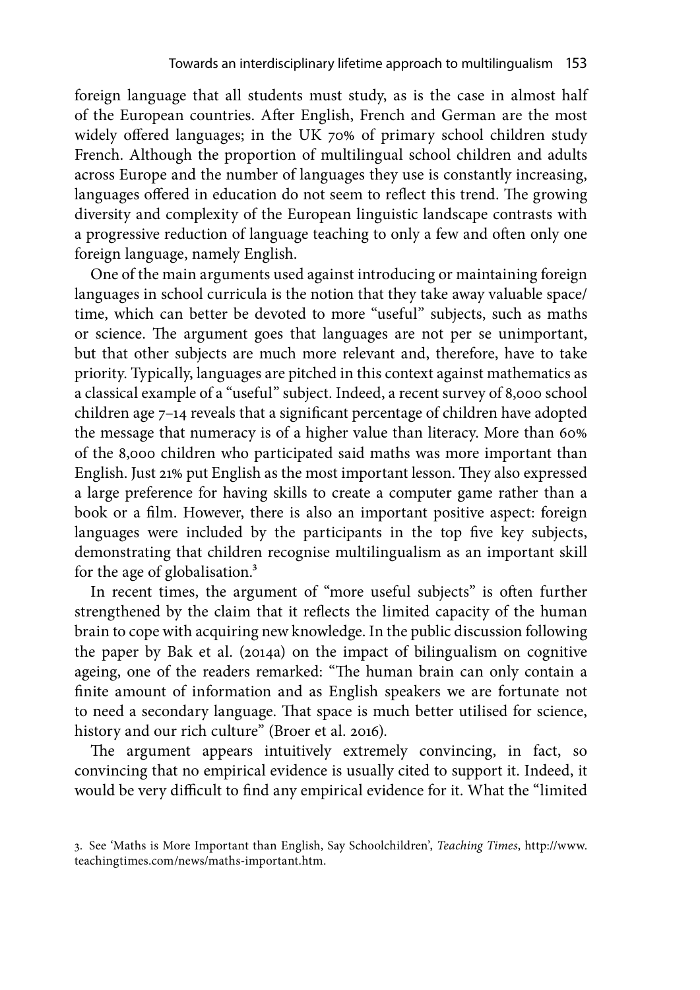foreign language that all students must study, as is the case in almost half of the European countries. After English, French and German are the most widely offered languages; in the UK 70% of primary school children study French. Although the proportion of multilingual school children and adults across Europe and the number of languages they use is constantly increasing, languages offered in education do not seem to reflect this trend. The growing diversity and complexity of the European linguistic landscape contrasts with a progressive reduction of language teaching to only a few and often only one foreign language, namely English.

One of the main arguments used against introducing or maintaining foreign languages in school curricula is the notion that they take away valuable space/ time, which can better be devoted to more "useful" subjects, such as maths or science. The argument goes that languages are not per se unimportant, but that other subjects are much more relevant and, therefore, have to take priority. Typically, languages are pitched in this context against mathematics as a classical example of a "useful" subject. Indeed, a recent survey of 8,000 school children age 7–14 reveals that a significant percentage of children have adopted the message that numeracy is of a higher value than literacy. More than 60% of the 8,000 children who participated said maths was more important than English. Just 21% put English as the most important lesson. They also expressed a large preference for having skills to create a computer game rather than a book or a film. However, there is also an important positive aspect: foreign languages were included by the participants in the top five key subjects, demonstrating that children recognise multilingualism as an important skill for the age of globalisation.<sup>3</sup>

In recent times, the argument of "more useful subjects" is often further strengthened by the claim that it reflects the limited capacity of the human brain to cope with acquiring new knowledge. In the public discussion following the paper by Bak et al. (2014a) on the impact of bilingualism on cognitive ageing, one of the readers remarked: "The human brain can only contain a finite amount of information and as English speakers we are fortunate not to need a secondary language. That space is much better utilised for science, history and our rich culture" (Broer et al. 2016).

The argument appears intuitively extremely convincing, in fact, so convincing that no empirical evidence is usually cited to support it. Indeed, it would be very difficult to find any empirical evidence for it. What the "limited

<sup>3.</sup> See 'Maths is More Important than English, Say Schoolchildren', *Teaching Times*, http://www. teachingtimes.com/news/maths-important.htm.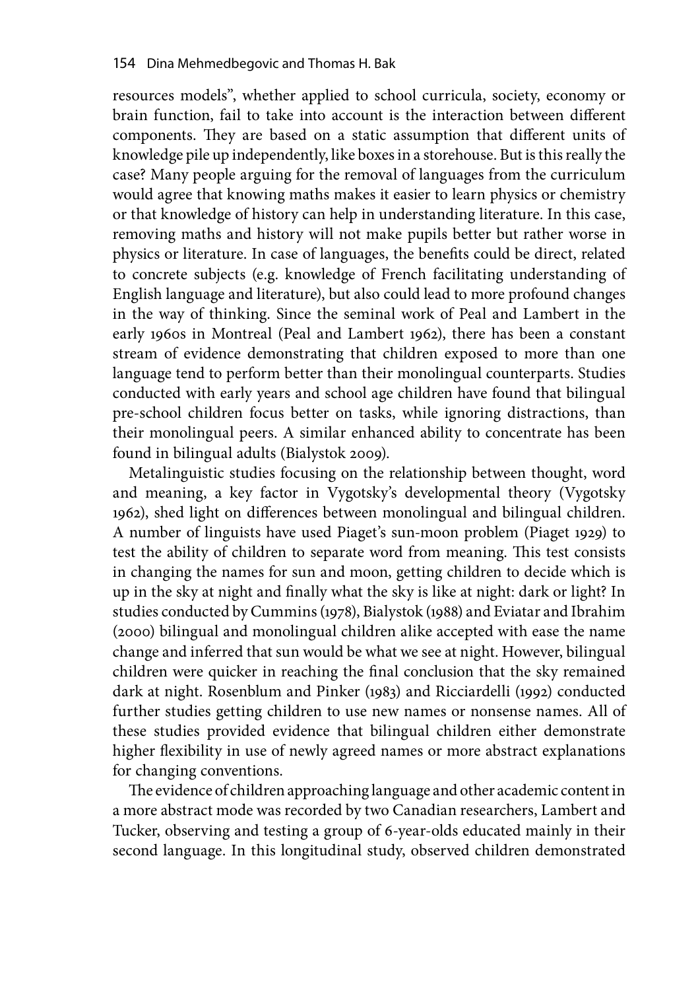resources models", whether applied to school curricula, society, economy or brain function, fail to take into account is the interaction between different components. They are based on a static assumption that different units of knowledge pile up independently, like boxes in a storehouse. But is this really the case? Many people arguing for the removal of languages from the curriculum would agree that knowing maths makes it easier to learn physics or chemistry or that knowledge of history can help in understanding literature. In this case, removing maths and history will not make pupils better but rather worse in physics or literature. In case of languages, the benefits could be direct, related to concrete subjects (e.g. knowledge of French facilitating understanding of English language and literature), but also could lead to more profound changes in the way of thinking. Since the seminal work of Peal and Lambert in the early 1960s in Montreal (Peal and Lambert 1962), there has been a constant stream of evidence demonstrating that children exposed to more than one language tend to perform better than their monolingual counterparts. Studies conducted with early years and school age children have found that bilingual pre-school children focus better on tasks, while ignoring distractions, than their monolingual peers. A similar enhanced ability to concentrate has been found in bilingual adults (Bialystok 2009).

Metalinguistic studies focusing on the relationship between thought, word and meaning, a key factor in Vygotsky's developmental theory (Vygotsky 1962), shed light on differences between monolingual and bilingual children. A number of linguists have used Piaget's sun-moon problem (Piaget 1929) to test the ability of children to separate word from meaning. This test consists in changing the names for sun and moon, getting children to decide which is up in the sky at night and finally what the sky is like at night: dark or light? In studies conducted by Cummins (1978), Bialystok (1988) and Eviatar and Ibrahim (2000) bilingual and monolingual children alike accepted with ease the name change and inferred that sun would be what we see at night. However, bilingual children were quicker in reaching the final conclusion that the sky remained dark at night. Rosenblum and Pinker (1983) and Ricciardelli (1992) conducted further studies getting children to use new names or nonsense names. All of these studies provided evidence that bilingual children either demonstrate higher flexibility in use of newly agreed names or more abstract explanations for changing conventions.

The evidence of children approaching language and other academic content in a more abstract mode was recorded by two Canadian researchers, Lambert and Tucker, observing and testing a group of 6-year-olds educated mainly in their second language. In this longitudinal study, observed children demonstrated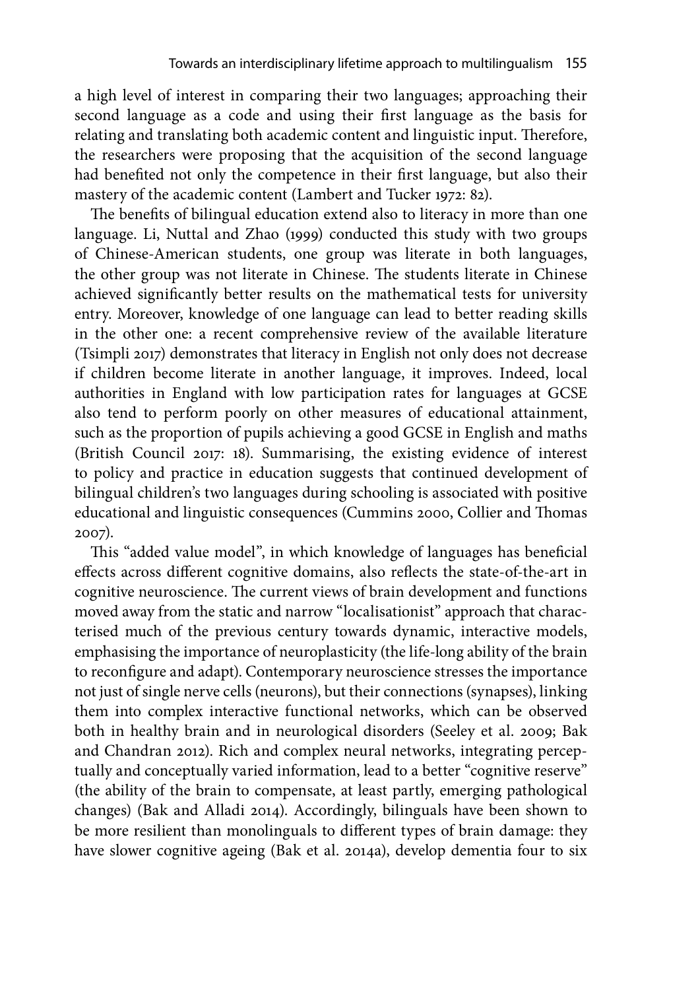a high level of interest in comparing their two languages; approaching their second language as a code and using their first language as the basis for relating and translating both academic content and linguistic input. Therefore, the researchers were proposing that the acquisition of the second language had benefited not only the competence in their first language, but also their mastery of the academic content (Lambert and Tucker 1972: 82).

The benefits of bilingual education extend also to literacy in more than one language. Li, Nuttal and Zhao (1999) conducted this study with two groups of Chinese-American students, one group was literate in both languages, the other group was not literate in Chinese. The students literate in Chinese achieved significantly better results on the mathematical tests for university entry. Moreover, knowledge of one language can lead to better reading skills in the other one: a recent comprehensive review of the available literature (Tsimpli 2017) demonstrates that literacy in English not only does not decrease if children become literate in another language, it improves. Indeed, local authorities in England with low participation rates for languages at GCSE also tend to perform poorly on other measures of educational attainment, such as the proportion of pupils achieving a good GCSE in English and maths (British Council 2017: 18). Summarising, the existing evidence of interest to policy and practice in education suggests that continued development of bilingual children's two languages during schooling is associated with positive educational and linguistic consequences (Cummins 2000, Collier and Thomas 2007).

This "added value model", in which knowledge of languages has beneficial effects across different cognitive domains, also reflects the state-of-the-art in cognitive neuroscience. The current views of brain development and functions moved away from the static and narrow "localisationist" approach that characterised much of the previous century towards dynamic, interactive models, emphasising the importance of neuroplasticity (the life-long ability of the brain to reconfigure and adapt). Contemporary neuroscience stresses the importance not just of single nerve cells (neurons), but their connections (synapses), linking them into complex interactive functional networks, which can be observed both in healthy brain and in neurological disorders (Seeley et al. 2009; Bak and Chandran 2012). Rich and complex neural networks, integrating perceptually and conceptually varied information, lead to a better "cognitive reserve" (the ability of the brain to compensate, at least partly, emerging pathological changes) (Bak and Alladi 2014). Accordingly, bilinguals have been shown to be more resilient than monolinguals to different types of brain damage: they have slower cognitive ageing (Bak et al. 2014a), develop dementia four to six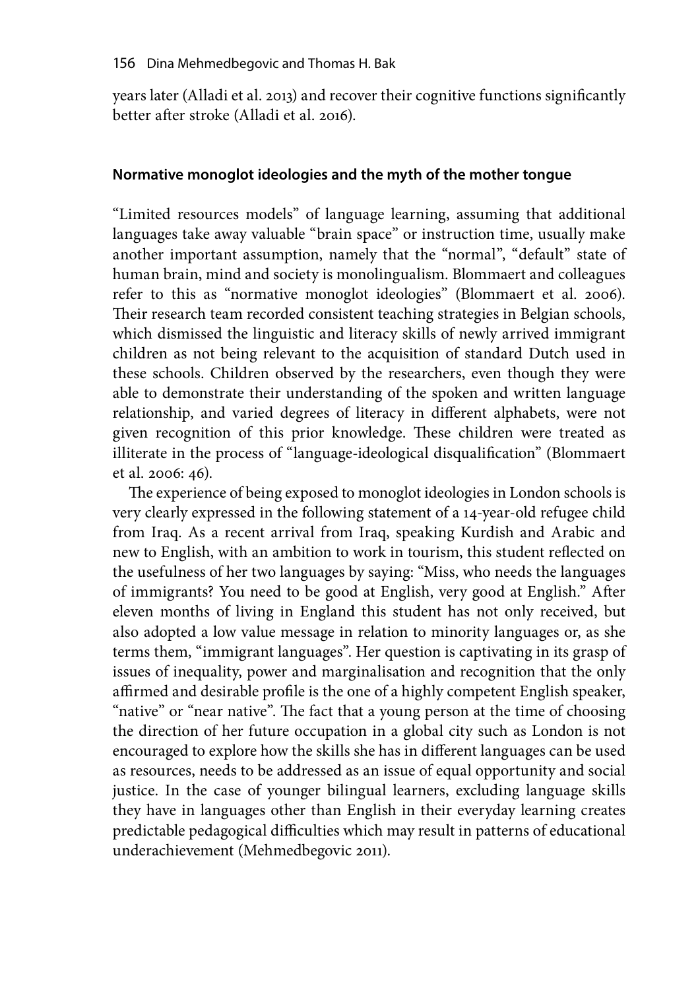years later (Alladi et al. 2013) and recover their cognitive functions significantly better after stroke (Alladi et al. 2016).

### **Normative monoglot ideologies and the myth of the mother tongue**

"Limited resources models" of language learning, assuming that additional languages take away valuable "brain space" or instruction time, usually make another important assumption, namely that the "normal", "default" state of human brain, mind and society is monolingualism. Blommaert and colleagues refer to this as "normative monoglot ideologies" (Blommaert et al. 2006). Their research team recorded consistent teaching strategies in Belgian schools, which dismissed the linguistic and literacy skills of newly arrived immigrant children as not being relevant to the acquisition of standard Dutch used in these schools. Children observed by the researchers, even though they were able to demonstrate their understanding of the spoken and written language relationship, and varied degrees of literacy in different alphabets, were not given recognition of this prior knowledge. These children were treated as illiterate in the process of "language-ideological disqualification" (Blommaert et al. 2006: 46).

The experience of being exposed to monoglot ideologies in London schools is very clearly expressed in the following statement of a 14-year-old refugee child from Iraq. As a recent arrival from Iraq, speaking Kurdish and Arabic and new to English, with an ambition to work in tourism, this student reflected on the usefulness of her two languages by saying: "Miss, who needs the languages of immigrants? You need to be good at English, very good at English." After eleven months of living in England this student has not only received, but also adopted a low value message in relation to minority languages or, as she terms them, "immigrant languages". Her question is captivating in its grasp of issues of inequality, power and marginalisation and recognition that the only affirmed and desirable profile is the one of a highly competent English speaker, "native" or "near native". The fact that a young person at the time of choosing the direction of her future occupation in a global city such as London is not encouraged to explore how the skills she has in different languages can be used as resources, needs to be addressed as an issue of equal opportunity and social justice. In the case of younger bilingual learners, excluding language skills they have in languages other than English in their everyday learning creates predictable pedagogical difficulties which may result in patterns of educational underachievement (Mehmedbegovic 2011).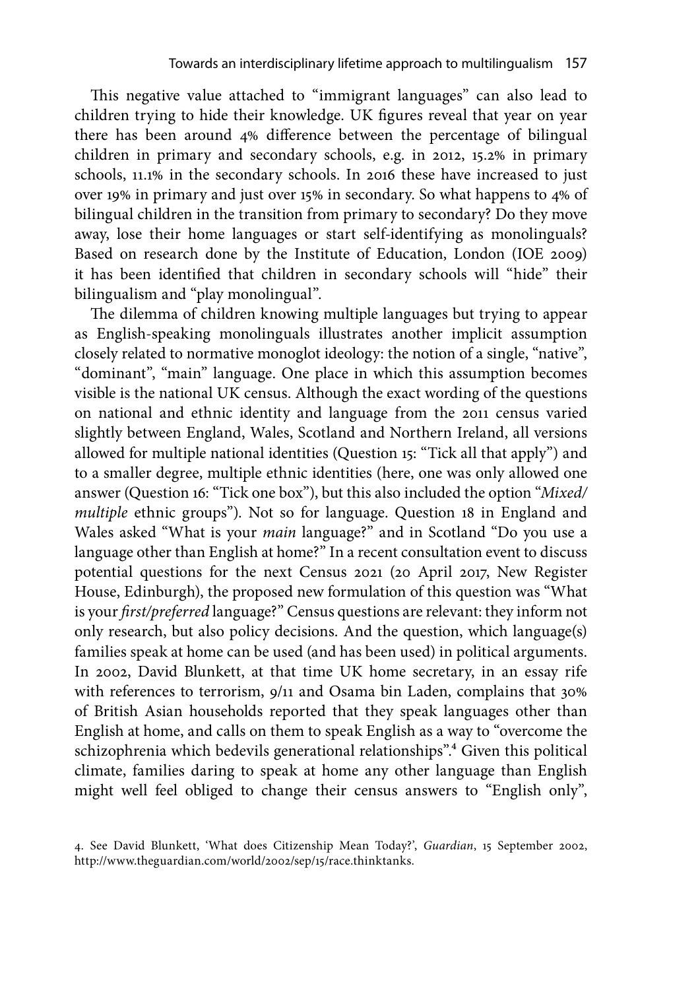This negative value attached to "immigrant languages" can also lead to children trying to hide their knowledge. UK figures reveal that year on year there has been around 4% difference between the percentage of bilingual children in primary and secondary schools, e.g. in 2012, 15.2% in primary schools, 11.1% in the secondary schools. In 2016 these have increased to just over 19% in primary and just over 15% in secondary. So what happens to 4% of bilingual children in the transition from primary to secondary? Do they move away, lose their home languages or start self-identifying as monolinguals? Based on research done by the Institute of Education, London (IOE 2009) it has been identified that children in secondary schools will "hide" their bilingualism and "play monolingual".

The dilemma of children knowing multiple languages but trying to appear as English-speaking monolinguals illustrates another implicit assumption closely related to normative monoglot ideology: the notion of a single, "native", "dominant", "main" language. One place in which this assumption becomes visible is the national UK census. Although the exact wording of the questions on national and ethnic identity and language from the 2011 census varied slightly between England, Wales, Scotland and Northern Ireland, all versions allowed for multiple national identities (Question 15: "Tick all that apply") and to a smaller degree, multiple ethnic identities (here, one was only allowed one answer (Question 16: "Tick one box"), but this also included the option "*Mixed/ multiple* ethnic groups"). Not so for language. Question 18 in England and Wales asked "What is your *main* language?" and in Scotland "Do you use a language other than English at home?" In a recent consultation event to discuss potential questions for the next Census 2021 (20 April 2017, New Register House, Edinburgh), the proposed new formulation of this question was "What is your *first/preferred* language?" Census questions are relevant: they inform not only research, but also policy decisions. And the question, which language(s) families speak at home can be used (and has been used) in political arguments. In 2002, David Blunkett, at that time UK home secretary, in an essay rife with references to terrorism, 9/11 and Osama bin Laden, complains that 30% of British Asian households reported that they speak languages other than English at home, and calls on them to speak English as a way to "overcome the schizophrenia which bedevils generational relationships".4 Given this political climate, families daring to speak at home any other language than English might well feel obliged to change their census answers to "English only",

<sup>4.</sup> See David Blunkett, 'What does Citizenship Mean Today?', *Guardian*, 15 September 2002, http://www.theguardian.com/world/2002/sep/15/race.thinktanks.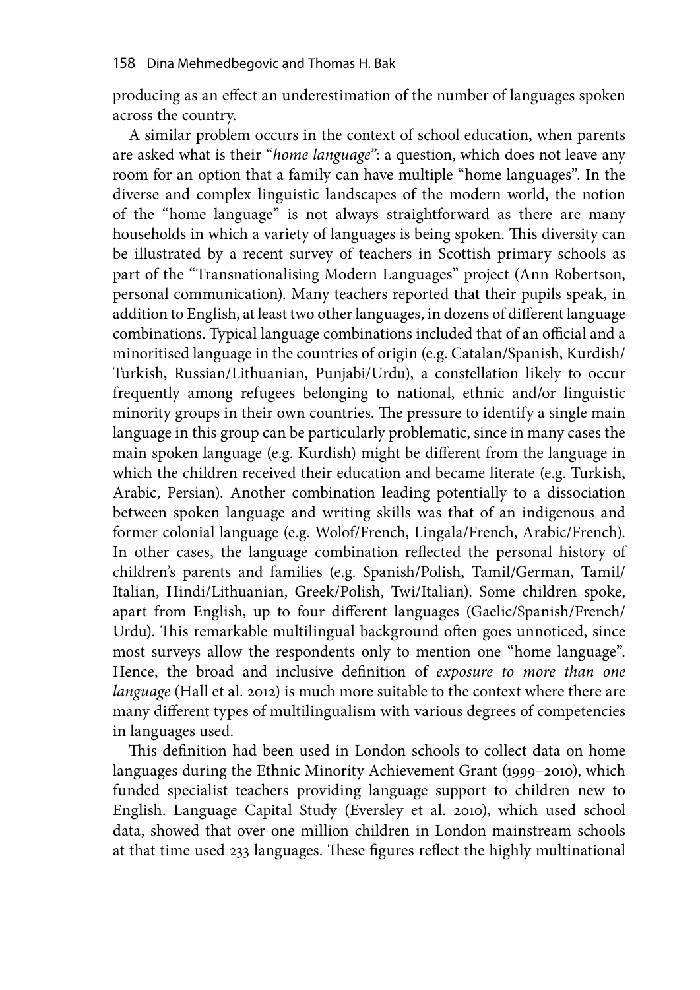producing as an effect an underestimation of the number of languages spoken across the country.

A similar problem occurs in the context of school education, when parents are asked what is their "*home language*": a question, which does not leave any room for an option that a family can have multiple "home languages". In the diverse and complex linguistic landscapes of the modern world, the notion of the "home language" is not always straightforward as there are many households in which a variety of languages is being spoken. This diversity can be illustrated by a recent survey of teachers in Scottish primary schools as part of the "Transnationalising Modern Languages" project (Ann Robertson, personal communication). Many teachers reported that their pupils speak, in addition to English, at least two other languages, in dozens of different language combinations. Typical language combinations included that of an official and a minoritised language in the countries of origin (e.g. Catalan/Spanish, Kurdish/ Turkish, Russian/Lithuanian, Punjabi/Urdu), a constellation likely to occur frequently among refugees belonging to national, ethnic and/or linguistic minority groups in their own countries. The pressure to identify a single main language in this group can be particularly problematic, since in many cases the main spoken language (e.g. Kurdish) might be different from the language in which the children received their education and became literate (e.g. Turkish, Arabic, Persian). Another combination leading potentially to a dissociation between spoken language and writing skills was that of an indigenous and former colonial language (e.g. Wolof/French, Lingala/French, Arabic/French). In other cases, the language combination reflected the personal history of children's parents and families (e.g. Spanish/Polish, Tamil/German, Tamil/ Italian, Hindi/Lithuanian, Greek/Polish, Twi/Italian). Some children spoke, apart from English, up to four different languages (Gaelic/Spanish/French/ Urdu). This remarkable multilingual background often goes unnoticed, since most surveys allow the respondents only to mention one "home language". Hence, the broad and inclusive definition of *exposure to more than one language* (Hall et al. 2012) is much more suitable to the context where there are many different types of multilingualism with various degrees of competencies in languages used.

This definition had been used in London schools to collect data on home languages during the Ethnic Minority Achievement Grant (1999–2010), which funded specialist teachers providing language support to children new to English. Language Capital Study (Eversley et al. 2010), which used school data, showed that over one million children in London mainstream schools at that time used 233 languages. These figures reflect the highly multinational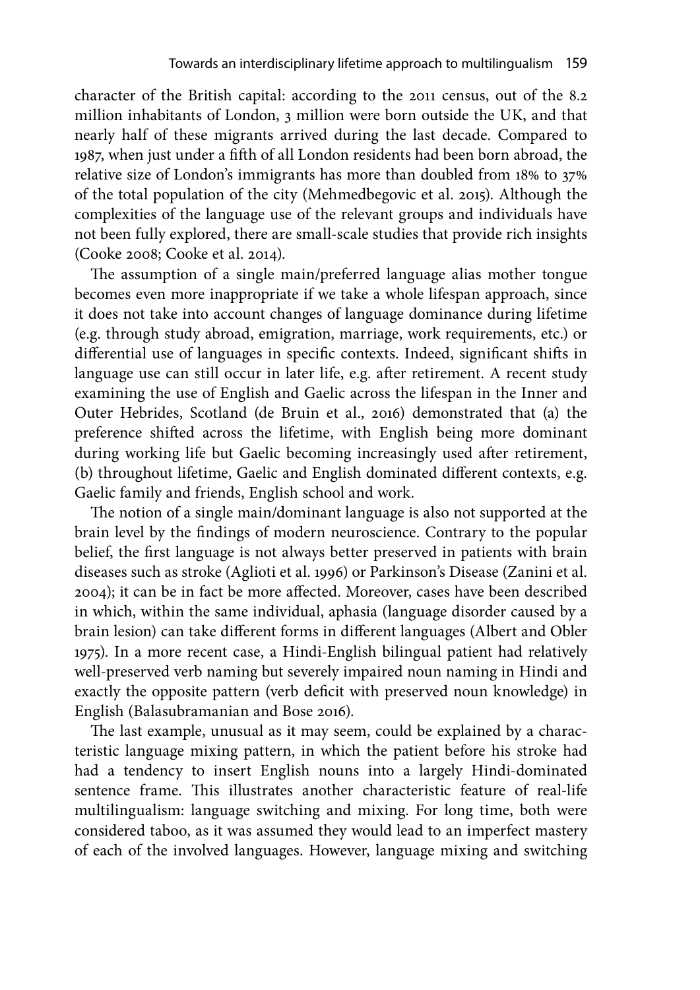character of the British capital: according to the 2011 census, out of the 8.2 million inhabitants of London, 3 million were born outside the UK, and that nearly half of these migrants arrived during the last decade. Compared to 1987, when just under a fifth of all London residents had been born abroad, the relative size of London's immigrants has more than doubled from 18% to 37% of the total population of the city (Mehmedbegovic et al. 2015). Although the complexities of the language use of the relevant groups and individuals have not been fully explored, there are small-scale studies that provide rich insights (Cooke 2008; Cooke et al. 2014).

The assumption of a single main/preferred language alias mother tongue becomes even more inappropriate if we take a whole lifespan approach, since it does not take into account changes of language dominance during lifetime (e.g. through study abroad, emigration, marriage, work requirements, etc.) or differential use of languages in specific contexts. Indeed, significant shifts in language use can still occur in later life, e.g. after retirement. A recent study examining the use of English and Gaelic across the lifespan in the Inner and Outer Hebrides, Scotland (de Bruin et al., 2016) demonstrated that (a) the preference shifted across the lifetime, with English being more dominant during working life but Gaelic becoming increasingly used after retirement, (b) throughout lifetime, Gaelic and English dominated different contexts, e.g. Gaelic family and friends, English school and work.

The notion of a single main/dominant language is also not supported at the brain level by the findings of modern neuroscience. Contrary to the popular belief, the first language is not always better preserved in patients with brain diseases such as stroke (Aglioti et al. 1996) or Parkinson's Disease (Zanini et al. 2004); it can be in fact be more affected. Moreover, cases have been described in which, within the same individual, aphasia (language disorder caused by a brain lesion) can take different forms in different languages (Albert and Obler 1975). In a more recent case, a Hindi-English bilingual patient had relatively well-preserved verb naming but severely impaired noun naming in Hindi and exactly the opposite pattern (verb deficit with preserved noun knowledge) in English (Balasubramanian and Bose 2016).

The last example, unusual as it may seem, could be explained by a characteristic language mixing pattern, in which the patient before his stroke had had a tendency to insert English nouns into a largely Hindi-dominated sentence frame. This illustrates another characteristic feature of real-life multilingualism: language switching and mixing. For long time, both were considered taboo, as it was assumed they would lead to an imperfect mastery of each of the involved languages. However, language mixing and switching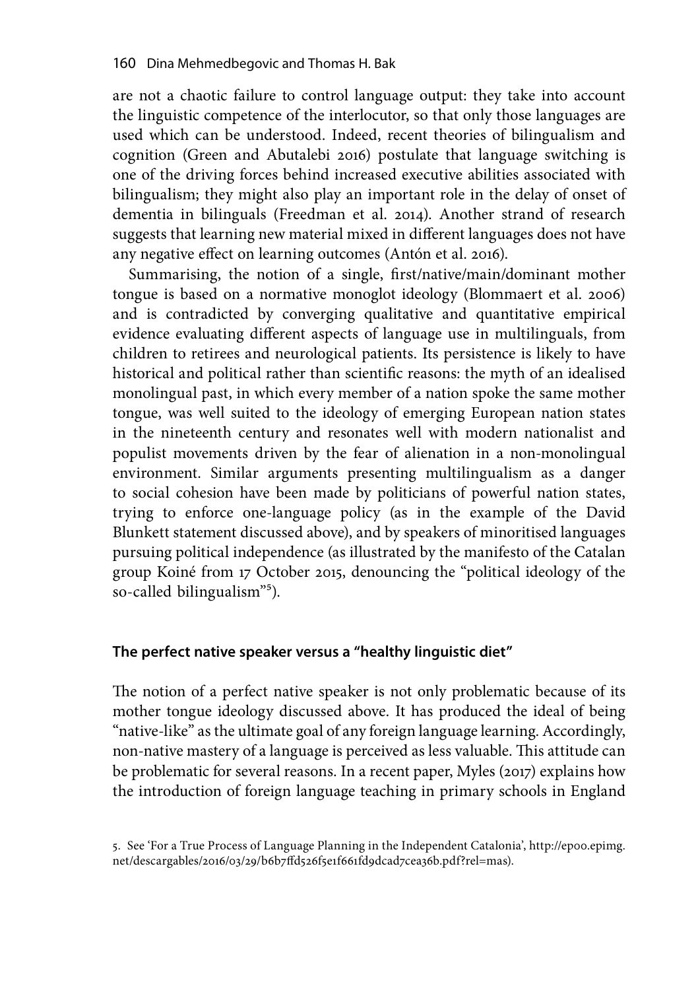are not a chaotic failure to control language output: they take into account the linguistic competence of the interlocutor, so that only those languages are used which can be understood. Indeed, recent theories of bilingualism and cognition (Green and Abutalebi 2016) postulate that language switching is one of the driving forces behind increased executive abilities associated with bilingualism; they might also play an important role in the delay of onset of dementia in bilinguals (Freedman et al. 2014). Another strand of research suggests that learning new material mixed in different languages does not have any negative effect on learning outcomes (Antón et al. 2016).

Summarising, the notion of a single, first/native/main/dominant mother tongue is based on a normative monoglot ideology (Blommaert et al. 2006) and is contradicted by converging qualitative and quantitative empirical evidence evaluating different aspects of language use in multilinguals, from children to retirees and neurological patients. Its persistence is likely to have historical and political rather than scientific reasons: the myth of an idealised monolingual past, in which every member of a nation spoke the same mother tongue, was well suited to the ideology of emerging European nation states in the nineteenth century and resonates well with modern nationalist and populist movements driven by the fear of alienation in a non-monolingual environment. Similar arguments presenting multilingualism as a danger to social cohesion have been made by politicians of powerful nation states, trying to enforce one-language policy (as in the example of the David Blunkett statement discussed above), and by speakers of minoritised languages pursuing political independence (as illustrated by the manifesto of the Catalan group Koiné from 17 October 2015, denouncing the "political ideology of the so-called bilingualism"5).

#### **The perfect native speaker versus a "healthy linguistic diet"**

The notion of a perfect native speaker is not only problematic because of its mother tongue ideology discussed above. It has produced the ideal of being "native-like" as the ultimate goal of any foreign language learning. Accordingly, non-native mastery of a language is perceived as less valuable. This attitude can be problematic for several reasons. In a recent paper, Myles (2017) explains how the introduction of foreign language teaching in primary schools in England

<sup>5.</sup> See 'For a True Process of Language Planning in the Independent Catalonia', http://ep00.epimg. net/descargables/2016/03/29/b6b7ffd526f5e1f661fd9dcad7cea36b.pdf?rel=mas).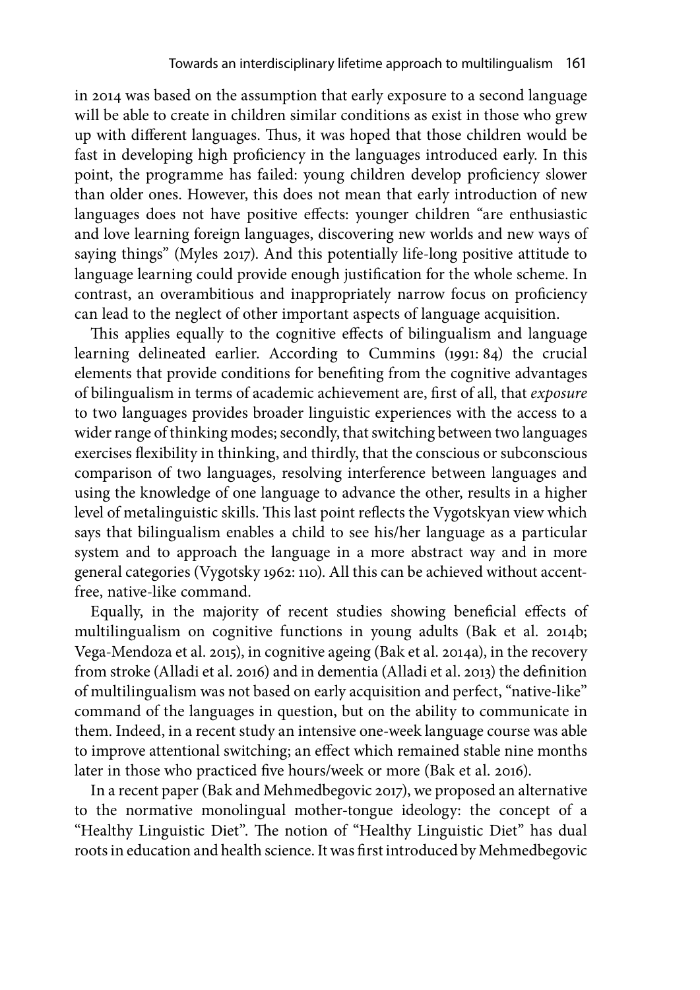in 2014 was based on the assumption that early exposure to a second language will be able to create in children similar conditions as exist in those who grew up with different languages. Thus, it was hoped that those children would be fast in developing high proficiency in the languages introduced early. In this point, the programme has failed: young children develop proficiency slower than older ones. However, this does not mean that early introduction of new languages does not have positive effects: younger children "are enthusiastic and love learning foreign languages, discovering new worlds and new ways of saying things" (Myles 2017). And this potentially life-long positive attitude to language learning could provide enough justification for the whole scheme. In contrast, an overambitious and inappropriately narrow focus on proficiency can lead to the neglect of other important aspects of language acquisition.

This applies equally to the cognitive effects of bilingualism and language learning delineated earlier. According to Cummins (1991: 84) the crucial elements that provide conditions for benefiting from the cognitive advantages of bilingualism in terms of academic achievement are, first of all, that *exposure* to two languages provides broader linguistic experiences with the access to a wider range of thinking modes; secondly, that switching between two languages exercises flexibility in thinking, and thirdly, that the conscious or subconscious comparison of two languages, resolving interference between languages and using the knowledge of one language to advance the other, results in a higher level of metalinguistic skills. This last point reflects the Vygotskyan view which says that bilingualism enables a child to see his/her language as a particular system and to approach the language in a more abstract way and in more general categories (Vygotsky 1962: 110). All this can be achieved without accentfree, native-like command.

Equally, in the majority of recent studies showing beneficial effects of multilingualism on cognitive functions in young adults (Bak et al. 2014b; Vega-Mendoza et al. 2015), in cognitive ageing (Bak et al. 2014a), in the recovery from stroke (Alladi et al. 2016) and in dementia (Alladi et al. 2013) the definition of multilingualism was not based on early acquisition and perfect, "native-like" command of the languages in question, but on the ability to communicate in them. Indeed, in a recent study an intensive one-week language course was able to improve attentional switching; an effect which remained stable nine months later in those who practiced five hours/week or more (Bak et al. 2016).

In a recent paper (Bak and Mehmedbegovic 2017), we proposed an alternative to the normative monolingual mother-tongue ideology: the concept of a "Healthy Linguistic Diet". The notion of "Healthy Linguistic Diet" has dual roots in education and health science. It was first introduced by Mehmedbegovic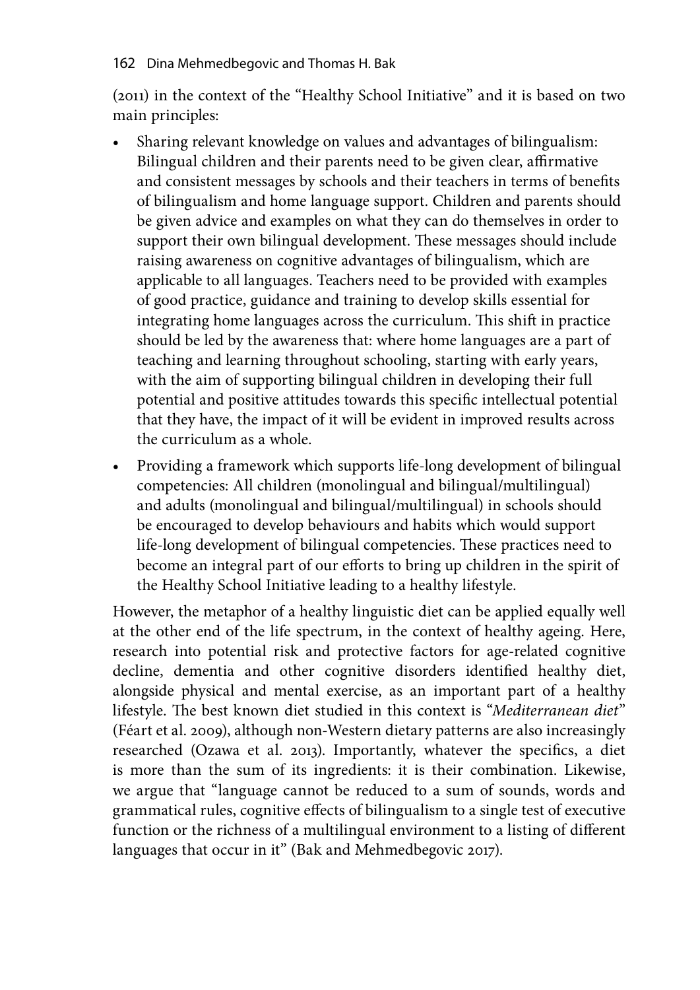#### 162 Dina Mehmedbegovic and Thomas H. Bak

(2011) in the context of the "Healthy School Initiative" and it is based on two main principles:

- Sharing relevant knowledge on values and advantages of bilingualism: Bilingual children and their parents need to be given clear, affirmative and consistent messages by schools and their teachers in terms of benefits of bilingualism and home language support. Children and parents should be given advice and examples on what they can do themselves in order to support their own bilingual development. These messages should include raising awareness on cognitive advantages of bilingualism, which are applicable to all languages. Teachers need to be provided with examples of good practice, guidance and training to develop skills essential for integrating home languages across the curriculum. This shift in practice should be led by the awareness that: where home languages are a part of teaching and learning throughout schooling, starting with early years, with the aim of supporting bilingual children in developing their full potential and positive attitudes towards this specific intellectual potential that they have, the impact of it will be evident in improved results across the curriculum as a whole.
- Providing a framework which supports life-long development of bilingual competencies: All children (monolingual and bilingual/multilingual) and adults (monolingual and bilingual/multilingual) in schools should be encouraged to develop behaviours and habits which would support life-long development of bilingual competencies. These practices need to become an integral part of our efforts to bring up children in the spirit of the Healthy School Initiative leading to a healthy lifestyle.

However, the metaphor of a healthy linguistic diet can be applied equally well at the other end of the life spectrum, in the context of healthy ageing. Here, research into potential risk and protective factors for age-related cognitive decline, dementia and other cognitive disorders identified healthy diet, alongside physical and mental exercise, as an important part of a healthy lifestyle. The best known diet studied in this context is "*Mediterranean diet*" (Féart et al. 2009), although non-Western dietary patterns are also increasingly researched (Ozawa et al. 2013). Importantly, whatever the specifics, a diet is more than the sum of its ingredients: it is their combination. Likewise, we argue that "language cannot be reduced to a sum of sounds, words and grammatical rules, cognitive effects of bilingualism to a single test of executive function or the richness of a multilingual environment to a listing of different languages that occur in it" (Bak and Mehmedbegovic 2017).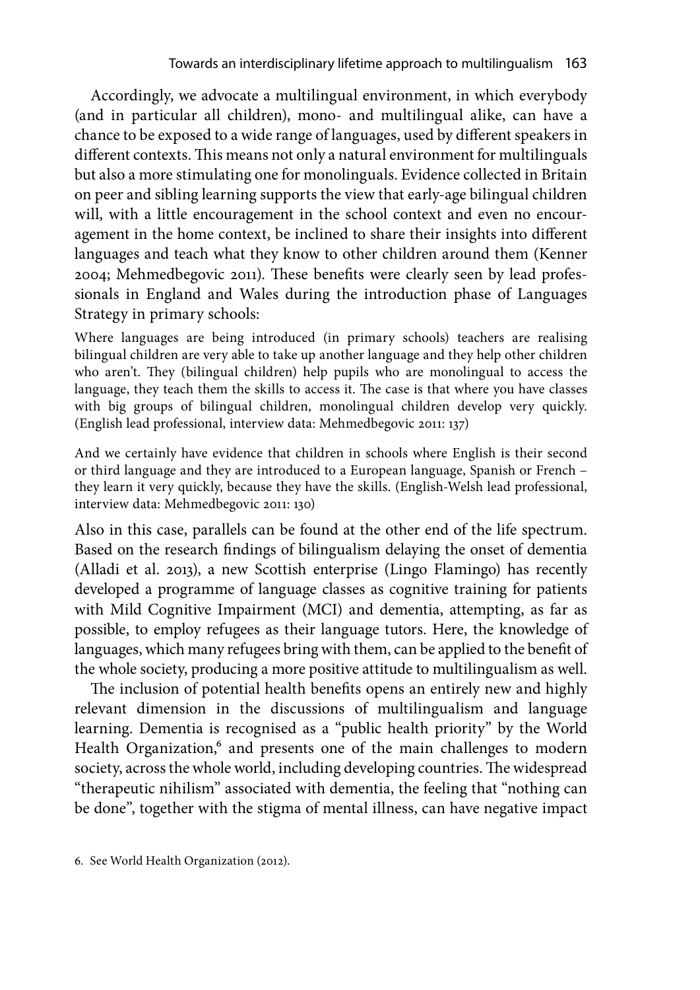Accordingly, we advocate a multilingual environment, in which everybody (and in particular all children), mono- and multilingual alike, can have a chance to be exposed to a wide range of languages, used by different speakers in different contexts. This means not only a natural environment for multilinguals but also a more stimulating one for monolinguals. Evidence collected in Britain on peer and sibling learning supports the view that early-age bilingual children will, with a little encouragement in the school context and even no encouragement in the home context, be inclined to share their insights into different languages and teach what they know to other children around them (Kenner 2004; Mehmedbegovic 2011). These benefits were clearly seen by lead professionals in England and Wales during the introduction phase of Languages Strategy in primary schools:

Where languages are being introduced (in primary schools) teachers are realising bilingual children are very able to take up another language and they help other children who aren't. They (bilingual children) help pupils who are monolingual to access the language, they teach them the skills to access it. The case is that where you have classes with big groups of bilingual children, monolingual children develop very quickly. (English lead professional, interview data: Mehmedbegovic 2011: 137)

And we certainly have evidence that children in schools where English is their second or third language and they are introduced to a European language, Spanish or French – they learn it very quickly, because they have the skills. (English-Welsh lead professional, interview data: Mehmedbegovic 2011: 130)

Also in this case, parallels can be found at the other end of the life spectrum. Based on the research findings of bilingualism delaying the onset of dementia (Alladi et al. 2013), a new Scottish enterprise (Lingo Flamingo) has recently developed a programme of language classes as cognitive training for patients with Mild Cognitive Impairment (MCI) and dementia, attempting, as far as possible, to employ refugees as their language tutors. Here, the knowledge of languages, which many refugees bring with them, can be applied to the benefit of the whole society, producing a more positive attitude to multilingualism as well.

The inclusion of potential health benefits opens an entirely new and highly relevant dimension in the discussions of multilingualism and language learning. Dementia is recognised as a "public health priority" by the World Health Organization,<sup>6</sup> and presents one of the main challenges to modern society, across the whole world, including developing countries. The widespread "therapeutic nihilism" associated with dementia, the feeling that "nothing can be done", together with the stigma of mental illness, can have negative impact

<sup>6.</sup> See World Health Organization (2012).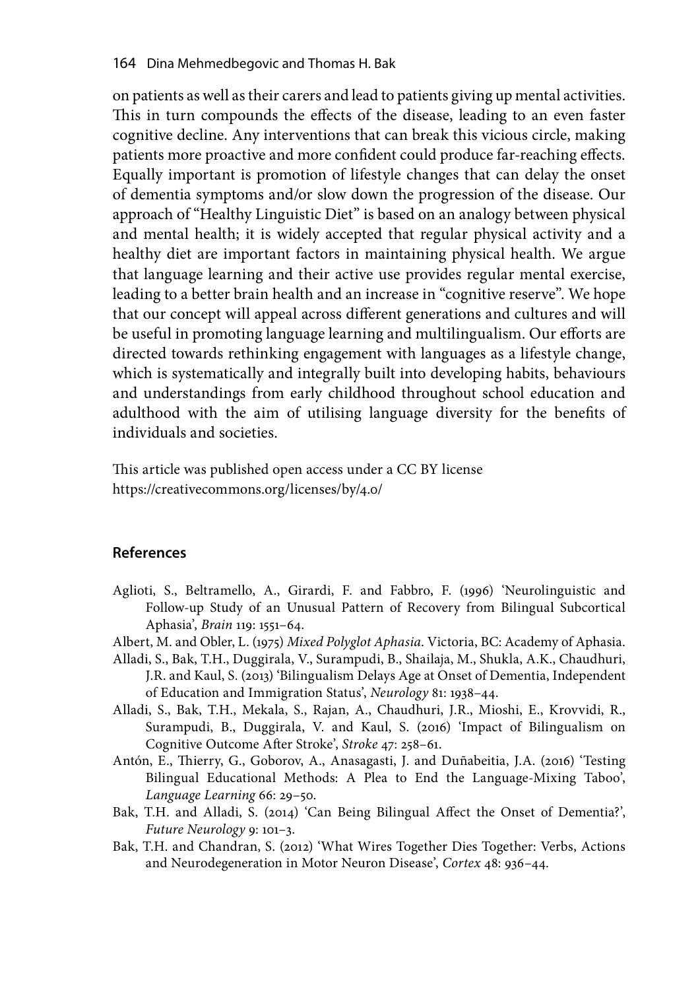on patients as well as their carers and lead to patients giving up mental activities. This in turn compounds the effects of the disease, leading to an even faster cognitive decline. Any interventions that can break this vicious circle, making patients more proactive and more confident could produce far-reaching effects. Equally important is promotion of lifestyle changes that can delay the onset of dementia symptoms and/or slow down the progression of the disease. Our approach of "Healthy Linguistic Diet" is based on an analogy between physical and mental health; it is widely accepted that regular physical activity and a healthy diet are important factors in maintaining physical health. We argue that language learning and their active use provides regular mental exercise, leading to a better brain health and an increase in "cognitive reserve". We hope that our concept will appeal across different generations and cultures and will be useful in promoting language learning and multilingualism. Our efforts are directed towards rethinking engagement with languages as a lifestyle change, which is systematically and integrally built into developing habits, behaviours and understandings from early childhood throughout school education and adulthood with the aim of utilising language diversity for the benefits of individuals and societies.

This article was published open access under a CC BY license https://creativecommons.org/licenses/by/4.0/

### **References**

- Aglioti, S., Beltramello, A., Girardi, F. and Fabbro, F. (1996) 'Neurolinguistic and Follow-up Study of an Unusual Pattern of Recovery from Bilingual Subcortical Aphasia', *Brain* 119: 1551–64.
- Albert, M. and Obler, L. (1975) *Mixed Polyglot Aphasia*. Victoria, BC: Academy of Aphasia.
- Alladi, S., Bak, T.H., Duggirala, V., Surampudi, B., Shailaja, M., Shukla, A.K., Chaudhuri, J.R. and Kaul, S. (2013) 'Bilingualism Delays Age at Onset of Dementia, Independent of Education and Immigration Status', *Neurology* 81: 1938–44.
- Alladi, S., Bak, T.H., Mekala, S., Rajan, A., Chaudhuri, J.R., Mioshi, E., Krovvidi, R., Surampudi, B., Duggirala, V. and Kaul, S. (2016) 'Impact of Bilingualism on Cognitive Outcome After Stroke', *Stroke* 47: 258–61.
- Antón, E., Thierry, G., Goborov, A., Anasagasti, J. and Duñabeitia, J.A. (2016) 'Testing Bilingual Educational Methods: A Plea to End the Language‐Mixing Taboo', *Language Learning* 66: 29–50.
- Bak, T.H. and Alladi, S. (2014) 'Can Being Bilingual Affect the Onset of Dementia?', *Future Neurology* 9: 101–3.
- Bak, T.H. and Chandran, S. (2012) 'What Wires Together Dies Together: Verbs, Actions and Neurodegeneration in Motor Neuron Disease', *Cortex* 48: 936–44.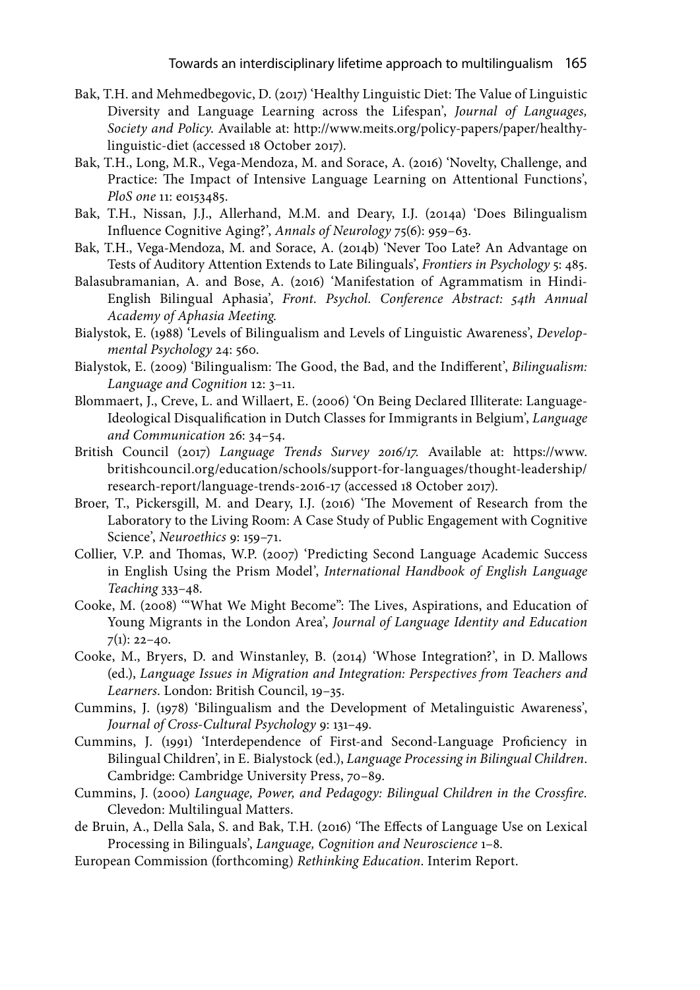- Bak, T.H. and Mehmedbegovic, D. (2017) 'Healthy Linguistic Diet: The Value of Linguistic Diversity and Language Learning across the Lifespan', *Journal of Languages, Society and Policy*. Available at: http://www.meits.org/policy-papers/paper/healthylinguistic-diet (accessed 18 October 2017).
- Bak, T.H., Long, M.R., Vega-Mendoza, M. and Sorace, A. (2016) 'Novelty, Challenge, and Practice: The Impact of Intensive Language Learning on Attentional Functions', *PloS one* 11: e0153485.
- Bak, T.H., Nissan, J.J., Allerhand, M.M. and Deary, I.J. (2014a) 'Does Bilingualism Influence Cognitive Aging?', *Annals of Neurology* 75(6): 959–63.
- Bak, T.H., Vega-Mendoza, M. and Sorace, A. (2014b) 'Never Too Late? An Advantage on Tests of Auditory Attention Extends to Late Bilinguals', *Frontiers in Psychology* 5: 485.
- Balasubramanian, A. and Bose, A. (2016) 'Manifestation of Agrammatism in Hindi-English Bilingual Aphasia', *Front. Psychol. Conference Abstract: 54th Annual Academy of Aphasia Meeting*.
- Bialystok, E. (1988) 'Levels of Bilingualism and Levels of Linguistic Awareness', *Developmental Psychology* 24: 560.
- Bialystok, E. (2009) 'Bilingualism: The Good, the Bad, and the Indifferent', *Bilingualism: Language and Cognition* 12: 3–11.
- Blommaert, J., Creve, L. and Willaert, E. (2006) 'On Being Declared Illiterate: Language-Ideological Disqualification in Dutch Classes for Immigrants in Belgium', *Language and Communication* 26: 34–54.
- British Council (2017) *Language Trends Survey 2016/17.* Available at: https://www. britishcouncil.org/education/schools/support-for-languages/thought-leadership/ research-report/language-trends-2016-17 (accessed 18 October 2017).
- Broer, T., Pickersgill, M. and Deary, I.J. (2016) 'The Movement of Research from the Laboratory to the Living Room: A Case Study of Public Engagement with Cognitive Science', *Neuroethics* 9: 159–71.
- Collier, V.P. and Thomas, W.P. (2007) 'Predicting Second Language Academic Success in English Using the Prism Model', *International Handbook of English Language Teaching* 333–48.
- Cooke, M. (2008) '"What We Might Become": The Lives, Aspirations, and Education of Young Migrants in the London Area', *Journal of Language Identity and Education*  $7(1)$ : 22-40.
- Cooke, M., Bryers, D. and Winstanley, B. (2014) 'Whose Integration?', in D. Mallows (ed.), *Language Issues in Migration and Integration: Perspectives from Teachers and Learners*. London: British Council, 19–35.
- Cummins, J. (1978) 'Bilingualism and the Development of Metalinguistic Awareness', *Journal of Cross-Cultural Psychology* 9: 131–49.
- Cummins, J. (1991) 'Interdependence of First-and Second-Language Proficiency in Bilingual Children', in E. Bialystock (ed.), *Language Processing in Bilingual Children*. Cambridge: Cambridge University Press, 70–89.
- Cummins, J. (2000) *Language, Power, and Pedagogy: Bilingual Children in the Crossfire.* Clevedon: Multilingual Matters.
- de Bruin, A., Della Sala, S. and Bak, T.H. (2016) 'The Effects of Language Use on Lexical Processing in Bilinguals', *Language, Cognition and Neuroscience* 1–8.
- European Commission (forthcoming) *Rethinking Education*. Interim Report.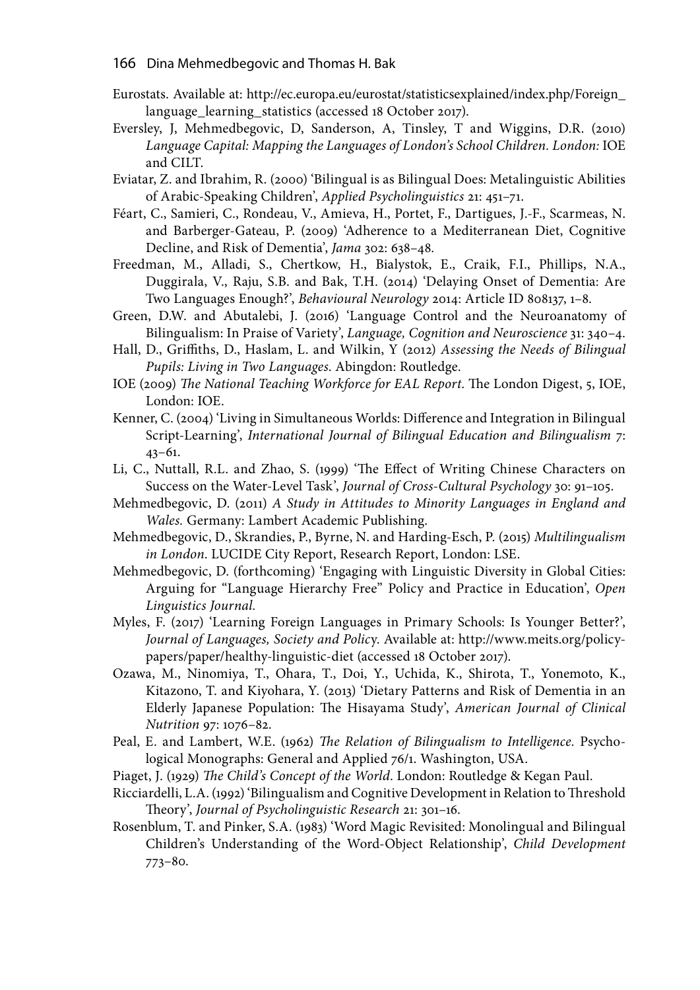- 166 Dina Mehmedbegovic and Thomas H. Bak
- Eurostats. Available at: http://ec.europa.eu/eurostat/statisticsexplained/index.php/Foreign\_ language learning statistics (accessed 18 October 2017).
- Eversley, J, Mehmedbegovic, D, Sanderson, A, Tinsley, T and Wiggins, D.R. (2010) *Language Capital: Mapping the Languages of London's School Children. London:* IOE and CILT.
- Eviatar, Z. and Ibrahim, R. (2000) 'Bilingual is as Bilingual Does: Metalinguistic Abilities of Arabic-Speaking Children', *Applied Psycholinguistics* 21: 451–71.
- Féart, C., Samieri, C., Rondeau, V., Amieva, H., Portet, F., Dartigues, J.-F., Scarmeas, N. and Barberger-Gateau, P. (2009) 'Adherence to a Mediterranean Diet, Cognitive Decline, and Risk of Dementia', *Jama* 302: 638–48.
- Freedman, M., Alladi, S., Chertkow, H., Bialystok, E., Craik, F.I., Phillips, N.A., Duggirala, V., Raju, S.B. and Bak, T.H. (2014) 'Delaying Onset of Dementia: Are Two Languages Enough?', *Behavioural Neurology* 2014: Article ID 808137, 1–8.
- Green, D.W. and Abutalebi, J. (2016) 'Language Control and the Neuroanatomy of Bilingualism: In Praise of Variety', *Language, Cognition and Neuroscience* 31: 340–4.
- Hall, D., Griffiths, D., Haslam, L. and Wilkin, Y (2012) *Assessing the Needs of Bilingual Pupils: Living in Two Languages*. Abingdon: Routledge.
- IOE (2009) *The National Teaching Workforce for EAL Report*. The London Digest, 5, IOE, London: IOE.
- Kenner, C. (2004) 'Living in Simultaneous Worlds: Difference and Integration in Bilingual Script-Learning', *International Journal of Bilingual Education and Bilingualism* 7: 43–61.
- Li, C., Nuttall, R.L. and Zhao, S. (1999) 'The Effect of Writing Chinese Characters on Success on the Water-Level Task', *Journal of Cross-Cultural Psychology* 30: 91–105.
- Mehmedbegovic, D. (2011) *A Study in Attitudes to Minority Languages in England and Wales.* Germany: Lambert Academic Publishing.
- Mehmedbegovic, D., Skrandies, P., Byrne, N. and Harding-Esch, P. (2015) *Multilingualism in London*. LUCIDE City Report, Research Report, London: LSE.
- Mehmedbegovic, D. (forthcoming) 'Engaging with Linguistic Diversity in Global Cities: Arguing for "Language Hierarchy Free" Policy and Practice in Education', *Open Linguistics Journal.*
- Myles, F. (2017) 'Learning Foreign Languages in Primary Schools: Is Younger Better?', *Journal of Languages, Society and Polic*y. Available at: http://www.meits.org/policypapers/paper/healthy-linguistic-diet (accessed 18 October 2017).
- Ozawa, M., Ninomiya, T., Ohara, T., Doi, Y., Uchida, K., Shirota, T., Yonemoto, K., Kitazono, T. and Kiyohara, Y. (2013) 'Dietary Patterns and Risk of Dementia in an Elderly Japanese Population: The Hisayama Study', *American Journal of Clinical Nutrition* 97: 1076–82.
- Peal, E. and Lambert, W.E. (1962) *The Relation of Bilingualism to Intelligence.* Psychological Monographs: General and Applied 76/1. Washington, USA.
- Piaget, J. (1929) *The Child's Concept of the World*. London: Routledge & Kegan Paul.
- Ricciardelli, L.A. (1992) 'Bilingualism and Cognitive Development in Relation to Threshold Theory', *Journal of Psycholinguistic Research* 21: 301–16.
- Rosenblum, T. and Pinker, S.A. (1983) 'Word Magic Revisited: Monolingual and Bilingual Children's Understanding of the Word-Object Relationship', *Child Development*  773–80.